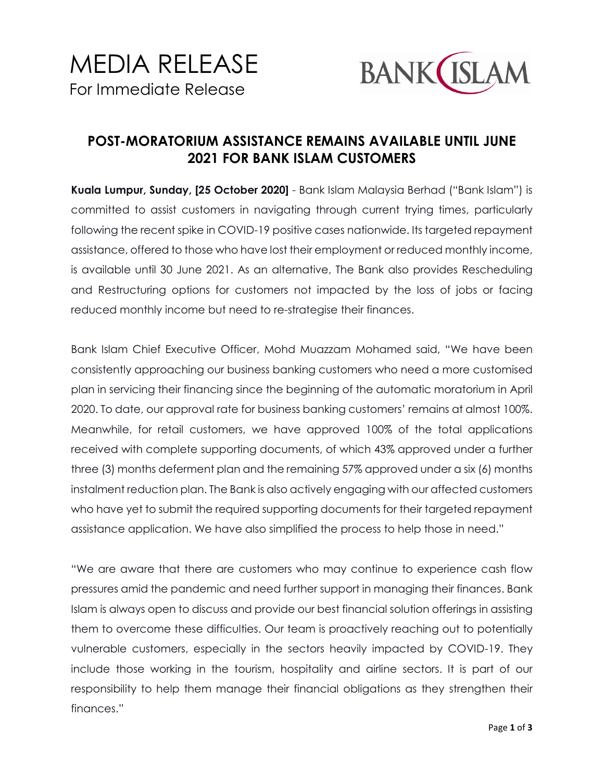

## **POST-MORATORIUM ASSISTANCE REMAINS AVAILABLE UNTIL JUNE 2021 FOR BANK ISLAM CUSTOMERS**

**Kuala Lumpur, Sunday, [25 October 2020]** - Bank Islam Malaysia Berhad ("Bank Islam") is committed to assist customers in navigating through current trying times, particularly following the recent spike in COVID-19 positive cases nationwide. Its targeted repayment assistance, offered to those who have lost their employment or reduced monthly income, is available until 30 June 2021. As an alternative, The Bank also provides Rescheduling and Restructuring options for customers not impacted by the loss of jobs or facing reduced monthly income but need to re-strategise their finances.

Bank Islam Chief Executive Officer, Mohd Muazzam Mohamed said, "We have been consistently approaching our business banking customers who need a more customised plan in servicing their financing since the beginning of the automatic moratorium in April 2020. To date, our approval rate for business banking customers' remains at almost 100%. Meanwhile, for retail customers, we have approved 100% of the total applications received with complete supporting documents, of which 43% approved under a further three (3) months deferment plan and the remaining 57% approved under a six (6) months instalment reduction plan. The Bank is also actively engaging with our affected customers who have yet to submit the required supporting documents for their targeted repayment assistance application. We have also simplified the process to help those in need."

"We are aware that there are customers who may continue to experience cash flow pressures amid the pandemic and need further support in managing their finances. Bank Islam is always open to discuss and provide our best financial solution offerings in assisting them to overcome these difficulties. Our team is proactively reaching out to potentially vulnerable customers, especially in the sectors heavily impacted by COVID-19. They include those working in the tourism, hospitality and airline sectors. It is part of our responsibility to help them manage their financial obligations as they strengthen their finances."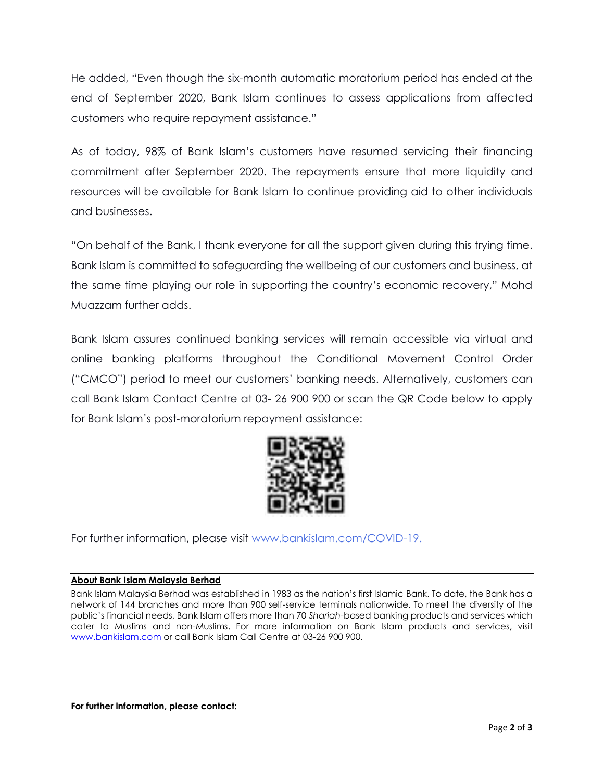He added, "Even though the six-month automatic moratorium period has ended at the end of September 2020, Bank Islam continues to assess applications from affected customers who require repayment assistance."

As of today, 98% of Bank Islam's customers have resumed servicing their financing commitment after September 2020. The repayments ensure that more liquidity and resources will be available for Bank Islam to continue providing aid to other individuals and businesses.

"On behalf of the Bank, I thank everyone for all the support given during this trying time. Bank Islam is committed to safeguarding the wellbeing of our customers and business, at the same time playing our role in supporting the country's economic recovery," Mohd Muazzam further adds.

Bank Islam assures continued banking services will remain accessible via virtual and online banking platforms throughout the Conditional Movement Control Order ("CMCO") period to meet our customers' banking needs. Alternatively, customers can call Bank Islam Contact Centre at 03- 26 900 900 or scan the QR Code below to apply for Bank Islam's post-moratorium repayment assistance:



For further information, please visit [www.bankislam.com/](http://www.bankislam.com/)COVID-19.

## **About Bank Islam Malaysia Berhad**

Bank Islam Malaysia Berhad was established in 1983 as the nation's first Islamic Bank. To date, the Bank has a network of 144 branches and more than 900 self-service terminals nationwide. To meet the diversity of the public's financial needs, Bank Islam offers more than 70 *Shariah*-based banking products and services which cater to Muslims and non-Muslims. For more information on Bank Islam products and services, visit [www.bankislam.com](http://www.bankislam.com/) or call Bank Islam Call Centre at 03-26 900 900.